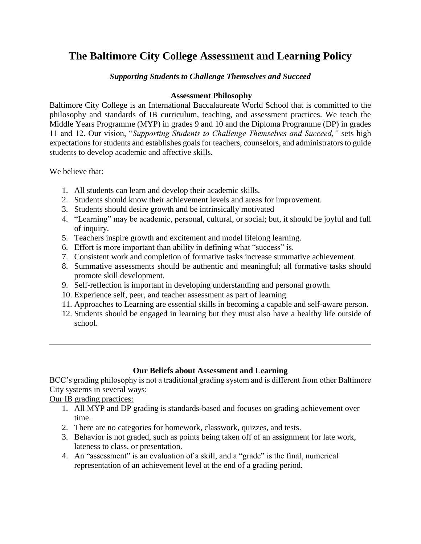# **The Baltimore City College Assessment and Learning Policy**

#### *Supporting Students to Challenge Themselves and Succeed*

#### **Assessment Philosophy**

Baltimore City College is an International Baccalaureate World School that is committed to the philosophy and standards of IB curriculum, teaching, and assessment practices. We teach the Middle Years Programme (MYP) in grades 9 and 10 and the Diploma Programme (DP) in grades 11 and 12. Our vision, "*Supporting Students to Challenge Themselves and Succeed,"* sets high expectations for students and establishes goals for teachers, counselors, and administrators to guide students to develop academic and affective skills.

We believe that:

- 1. All students can learn and develop their academic skills.
- 2. Students should know their achievement levels and areas for improvement.
- 3. Students should desire growth and be intrinsically motivated
- 4. "Learning" may be academic, personal, cultural, or social; but, it should be joyful and full of inquiry.
- 5. Teachers inspire growth and excitement and model lifelong learning.
- 6. Effort is more important than ability in defining what "success" is.
- 7. Consistent work and completion of formative tasks increase summative achievement.
- 8. Summative assessments should be authentic and meaningful; all formative tasks should promote skill development.
- 9. Self-reflection is important in developing understanding and personal growth.
- 10. Experience self, peer, and teacher assessment as part of learning.
- 11. Approaches to Learning are essential skills in becoming a capable and self-aware person.
- 12. Students should be engaged in learning but they must also have a healthy life outside of school.

### **Our Beliefs about Assessment and Learning**

BCC's grading philosophy is not a traditional grading system and is different from other Baltimore City systems in several ways:

Our IB grading practices:

- 1. All MYP and DP grading is standards-based and focuses on grading achievement over time.
- 2. There are no categories for homework, classwork, quizzes, and tests.
- 3. Behavior is not graded, such as points being taken off of an assignment for late work, lateness to class, or presentation.
- 4. An "assessment" is an evaluation of a skill, and a "grade" is the final, numerical representation of an achievement level at the end of a grading period.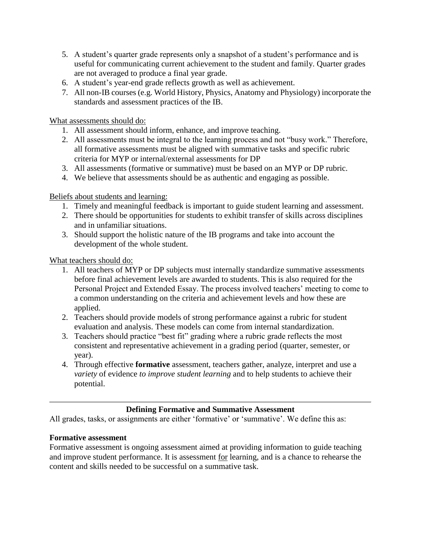- 5. A student's quarter grade represents only a snapshot of a student's performance and is useful for communicating current achievement to the student and family. Quarter grades are not averaged to produce a final year grade.
- 6. A student's year-end grade reflects growth as well as achievement.
- 7. All non-IB courses (e.g. World History, Physics, Anatomy and Physiology) incorporate the standards and assessment practices of the IB.

What assessments should do:

- 1. All assessment should inform, enhance, and improve teaching.
- 2. All assessments must be integral to the learning process and not "busy work." Therefore, all formative assessments must be aligned with summative tasks and specific rubric criteria for MYP or internal/external assessments for DP
- 3. All assessments (formative or summative) must be based on an MYP or DP rubric.
- 4. We believe that assessments should be as authentic and engaging as possible.

### Beliefs about students and learning:

- 1. Timely and meaningful feedback is important to guide student learning and assessment.
- 2. There should be opportunities for students to exhibit transfer of skills across disciplines and in unfamiliar situations.
- 3. Should support the holistic nature of the IB programs and take into account the development of the whole student.

What teachers should do:

- 1. All teachers of MYP or DP subjects must internally standardize summative assessments before final achievement levels are awarded to students. This is also required for the Personal Project and Extended Essay. The process involved teachers' meeting to come to a common understanding on the criteria and achievement levels and how these are applied.
- 2. Teachers should provide models of strong performance against a rubric for student evaluation and analysis. These models can come from internal standardization.
- 3. Teachers should practice "best fit" grading where a rubric grade reflects the most consistent and representative achievement in a grading period (quarter, semester, or year).
- 4. Through effective **formative** assessment, teachers gather, analyze, interpret and use a *variety* of evidence *to improve student learning* and to help students to achieve their potential.

### **Defining Formative and Summative Assessment**

All grades, tasks, or assignments are either 'formative' or 'summative'. We define this as:

### **Formative assessment**

Formative assessment is ongoing assessment aimed at providing information to guide teaching and improve student performance. It is assessment for learning, and is a chance to rehearse the content and skills needed to be successful on a summative task.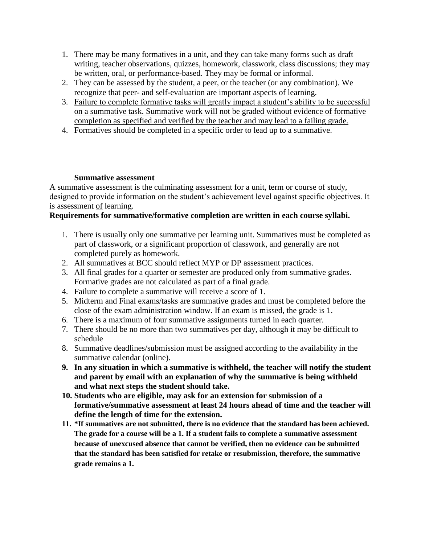- 1. There may be many formatives in a unit, and they can take many forms such as draft writing, teacher observations, quizzes, homework, classwork, class discussions; they may be written, oral, or performance-based. They may be formal or informal.
- 2. They can be assessed by the student, a peer, or the teacher (or any combination). We recognize that peer- and self-evaluation are important aspects of learning.
- 3. Failure to complete formative tasks will greatly impact a student's ability to be successful on a summative task. Summative work will not be graded without evidence of formative completion as specified and verified by the teacher and may lead to a failing grade.
- 4. Formatives should be completed in a specific order to lead up to a summative.

### **Summative assessment**

A summative assessment is the culminating assessment for a unit, term or course of study, designed to provide information on the student's achievement level against specific objectives. It is assessment of learning.

# **Requirements for summative/formative completion are written in each course syllabi.**

- 1. There is usually only one summative per learning unit. Summatives must be completed as part of classwork, or a significant proportion of classwork, and generally are not completed purely as homework.
- 2. All summatives at BCC should reflect MYP or DP assessment practices.
- 3. All final grades for a quarter or semester are produced only from summative grades. Formative grades are not calculated as part of a final grade.
- 4. Failure to complete a summative will receive a score of 1.
- 5. Midterm and Final exams/tasks are summative grades and must be completed before the close of the exam administration window. If an exam is missed, the grade is 1.
- 6. There is a maximum of four summative assignments turned in each quarter.
- 7. There should be no more than two summatives per day, although it may be difficult to schedule
- 8. Summative deadlines/submission must be assigned according to the availability in the summative calendar (online).
- **9. In any situation in which a summative is withheld, the teacher will notify the student and parent by email with an explanation of why the summative is being withheld and what next steps the student should take.**
- **10. Students who are eligible, may ask for an extension for submission of a formative/summative assessment at least 24 hours ahead of time and the teacher will define the length of time for the extension.**
- **11. \*If summatives are not submitted, there is no evidence that the standard has been achieved. The grade for a course will be a 1. If a student fails to complete a summative assessment because of unexcused absence that cannot be verified, then no evidence can be submitted that the standard has been satisfied for retake or resubmission, therefore, the summative grade remains a 1.**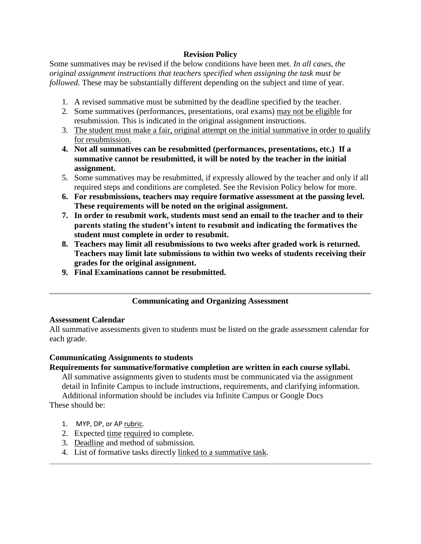### **Revision Policy**

Some summatives may be revised if the below conditions have been met. *In all cases, the original assignment instructions that teachers specified when assigning the task must be followed.* These may be substantially different depending on the subject and time of year.

- 1. A revised summative must be submitted by the deadline specified by the teacher.
- 2. Some summatives (performances, presentations, oral exams) may not be eligible for resubmission. This is indicated in the original assignment instructions.
- 3. The student must make a fair, original attempt on the initial summative in order to qualify for resubmission.
- **4. Not all summatives can be resubmitted (performances, presentations, etc.) If a summative cannot be resubmitted, it will be noted by the teacher in the initial assignment.**
- 5. Some summatives may be resubmitted, if expressly allowed by the teacher and only if all required steps and conditions are completed. See the Revision Policy below for more.
- **6. For resubmissions, teachers may require formative assessment at the passing level. These requirements will be noted on the original assignment.**
- **7. In order to resubmit work, students must send an email to the teacher and to their parents stating the student's intent to resubmit and indicating the formatives the student must complete in order to resubmit.**
- **8. Teachers may limit all resubmissions to two weeks after graded work is returned. Teachers may limit late submissions to within two weeks of students receiving their grades for the original assignment.**
- **9. Final Examinations cannot be resubmitted.**

# **Communicating and Organizing Assessment**

#### **Assessment Calendar**

All summative assessments given to students must be listed on the grade assessment calendar for each grade.

### **Communicating Assignments to students**

### **Requirements for summative/formative completion are written in each course syllabi.**

All summative assignments given to students must be communicated via the assignment detail in Infinite Campus to include instructions, requirements, and clarifying information. Additional information should be includes via Infinite Campus or Google Docs

These should be:

- 1. MYP, DP, or AP rubric.
- 2. Expected time required to complete.
- 3. Deadline and method of submission.
- 4. List of formative tasks directly linked to a summative task.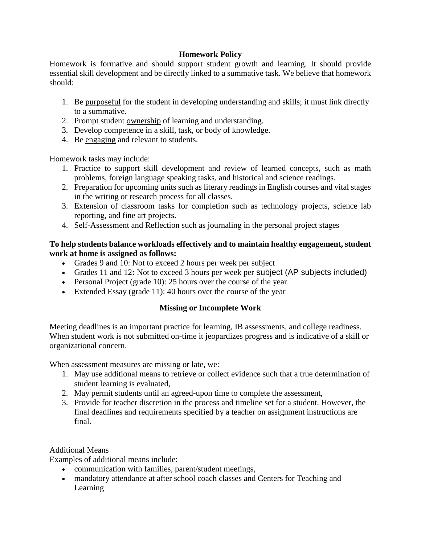### **Homework Policy**

Homework is formative and should support student growth and learning. It should provide essential skill development and be directly linked to a summative task. We believe that homework should:

- 1. Be purposeful for the student in developing understanding and skills; it must link directly to a summative.
- 2. Prompt student ownership of learning and understanding.
- 3. Develop competence in a skill, task, or body of knowledge.
- 4. Be engaging and relevant to students.

Homework tasks may include:

- 1. Practice to support skill development and review of learned concepts, such as math problems, foreign language speaking tasks, and historical and science readings.
- 2. Preparation for upcoming units such as literary readings in English courses and vital stages in the writing or research process for all classes.
- 3. Extension of classroom tasks for completion such as technology projects, science lab reporting, and fine art projects.
- 4. Self-Assessment and Reflection such as journaling in the personal project stages

### **To help students balance workloads effectively and to maintain healthy engagement, student work at home is assigned as follows:**

- Grades 9 and 10: Not to exceed 2 hours per week per subject
- Grades 11 and 12**:** Not to exceed 3 hours per week per subject (AP subjects included)
- Personal Project (grade 10): 25 hours over the course of the year
- Extended Essay (grade 11): 40 hours over the course of the year

# **Missing or Incomplete Work**

Meeting deadlines is an important practice for learning, IB assessments, and college readiness. When student work is not submitted on-time it jeopardizes progress and is indicative of a skill or organizational concern.

When assessment measures are missing or late, we:

- 1. May use additional means to retrieve or collect evidence such that a true determination of student learning is evaluated,
- 2. May permit students until an agreed-upon time to complete the assessment,
- 3. Provide for teacher discretion in the process and timeline set for a student. However, the final deadlines and requirements specified by a teacher on assignment instructions are final.

# Additional Means

Examples of additional means include:

- communication with families, parent/student meetings,
- mandatory attendance at after school coach classes and Centers for Teaching and Learning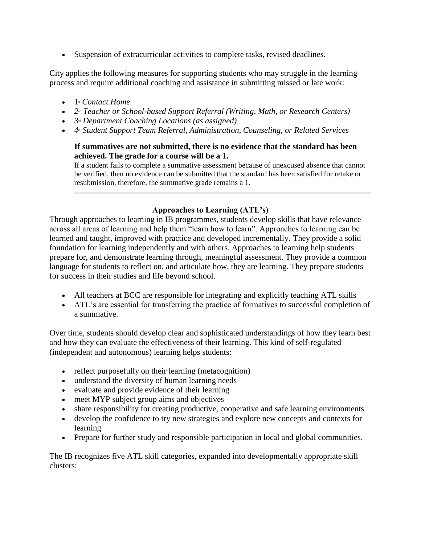• Suspension of extracurricular activities to complete tasks, revised deadlines.

City applies the following measures for supporting students who may struggle in the learning process and require additional coaching and assistance in submitting missed or late work:

- $\bullet$  1<sup>s</sup> *Contact Home*
- 2<sup>*nd</sup>* Teacher or School-based Support Referral (Writing, Math, or Research Centers)</sup>
- $3^d$  *Department Coaching Locations (as assigned)*
- 4<sup>*the Student Support Team Referral, Administration, Counseling, or Related Services*</sup>

### **If summatives are not submitted, there is no evidence that the standard has been achieved. The grade for a course will be a 1.**

If a student fails to complete a summative assessment because of unexcused absence that cannot be verified, then no evidence can be submitted that the standard has been satisfied for retake or resubmission, therefore, the summative grade remains a 1.

# **Approaches to Learning (ATL's)**

Through approaches to learning in IB programmes, students develop skills that have relevance across all areas of learning and help them "learn how to learn". Approaches to learning can be learned and taught, improved with practice and developed incrementally. They provide a solid foundation for learning independently and with others. Approaches to learning help students prepare for, and demonstrate learning through, meaningful assessment. They provide a common language for students to reflect on, and articulate how, they are learning. They prepare students for success in their studies and life beyond school.

- All teachers at BCC are responsible for integrating and explicitly teaching ATL skills
- ATL's are essential for transferring the practice of formatives to successful completion of a summative.

Over time, students should develop clear and sophisticated understandings of how they learn best and how they can evaluate the effectiveness of their learning. This kind of self-regulated (independent and autonomous) learning helps students:

- reflect purposefully on their learning (metacognition)
- understand the diversity of human learning needs
- evaluate and provide evidence of their learning
- meet MYP subject group aims and objectives
- share responsibility for creating productive, cooperative and safe learning environments
- develop the confidence to try new strategies and explore new concepts and contexts for learning
- Prepare for further study and responsible participation in local and global communities.

The IB recognizes five ATL skill categories, expanded into developmentally appropriate skill clusters: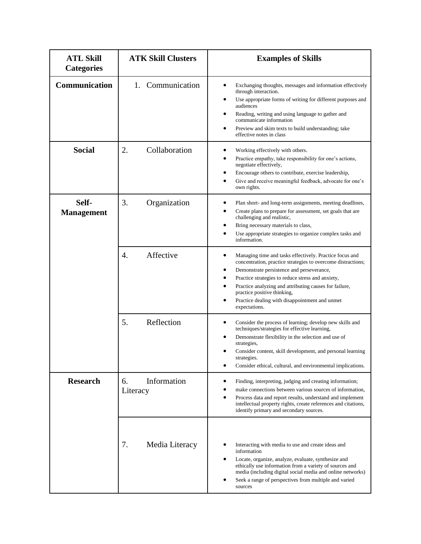| <b>ATL Skill</b><br><b>Categories</b> | <b>ATK Skill Clusters</b>     | <b>Examples of Skills</b>                                                                                                                                                                                                                                                                                                                                                                                                 |
|---------------------------------------|-------------------------------|---------------------------------------------------------------------------------------------------------------------------------------------------------------------------------------------------------------------------------------------------------------------------------------------------------------------------------------------------------------------------------------------------------------------------|
| Communication                         | 1. Communication              | Exchanging thoughts, messages and information effectively<br>$\bullet$<br>through interaction.<br>Use appropriate forms of writing for different purposes and<br>$\bullet$<br>audiences<br>Reading, writing and using language to gather and<br>communicate information<br>Preview and skim texts to build understanding; take<br>effective notes in class                                                                |
| <b>Social</b>                         | 2.<br>Collaboration           | Working effectively with others.<br>$\bullet$<br>Practice empathy, take responsibility for one's actions,<br>$\bullet$<br>negotiate effectively,<br>Encourage others to contribute, exercise leadership,<br>Give and receive meaningful feedback, advocate for one's<br>own rights.                                                                                                                                       |
| Self-<br><b>Management</b>            | 3.<br>Organization            | Plan short- and long-term assignments, meeting deadlines,<br>Create plans to prepare for assessment, set goals that are<br>challenging and realistic,<br>Bring necessary materials to class,<br>Use appropriate strategies to organize complex tasks and<br>information.                                                                                                                                                  |
|                                       | Affective<br>$\overline{4}$ . | Managing time and tasks effectively. Practice focus and<br>٠<br>concentration, practice strategies to overcome distractions;<br>Demonstrate persistence and perseverance,<br>٠<br>Practice strategies to reduce stress and anxiety,<br>Practice analyzing and attributing causes for failure,<br>$\bullet$<br>practice positive thinking,<br>Practice dealing with disappointment and unmet<br>$\bullet$<br>expectations. |
|                                       | Reflection<br>5.              | Consider the process of learning; develop new skills and<br>$\bullet$<br>techniques/strategies for effective learning,<br>Demonstrate flexibility in the selection and use of<br>strategies,<br>Consider content, skill development, and personal learning<br>strategies.<br>Consider ethical, cultural, and environmental implications.                                                                                  |
| <b>Research</b>                       | Information<br>6.<br>Literacy | Finding, interpreting, judging and creating information;<br>make connections between various sources of information,<br>Process data and report results, understand and implement<br>$\bullet$<br>intellectual property rights, create references and citations,<br>identify primary and secondary sources.                                                                                                               |
|                                       | 7.<br>Media Literacy          | Interacting with media to use and create ideas and<br>٠<br>information<br>Locate, organize, analyze, evaluate, synthesize and<br>$\bullet$<br>ethically use information from a variety of sources and<br>media (including digital social media and online networks)<br>Seek a range of perspectives from multiple and varied<br>sources                                                                                   |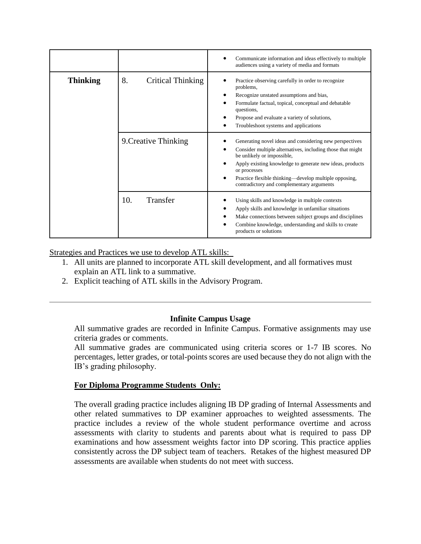|                 |                                | Communicate information and ideas effectively to multiple<br>audiences using a variety of media and formats                                                                                                                                                                                                                           |
|-----------------|--------------------------------|---------------------------------------------------------------------------------------------------------------------------------------------------------------------------------------------------------------------------------------------------------------------------------------------------------------------------------------|
| <b>Thinking</b> | 8.<br><b>Critical Thinking</b> | Practice observing carefully in order to recognize<br>problems,<br>Recognize unstated assumptions and bias,<br>Formulate factual, topical, conceptual and debatable<br>questions.<br>Propose and evaluate a variety of solutions,<br>Troubleshoot systems and applications                                                            |
|                 | 9. Creative Thinking           | Generating novel ideas and considering new perspectives<br>Consider multiple alternatives, including those that might<br>be unlikely or impossible,<br>Apply existing knowledge to generate new ideas, products<br>or processes<br>Practice flexible thinking—develop multiple opposing,<br>contradictory and complementary arguments |
|                 | Transfer<br>10.                | Using skills and knowledge in multiple contexts<br>Apply skills and knowledge in unfamiliar situations<br>Make connections between subject groups and disciplines<br>Combine knowledge, understanding and skills to create<br>products or solutions                                                                                   |

Strategies and Practices we use to develop ATL skills:

- 1. All units are planned to incorporate ATL skill development, and all formatives must explain an ATL link to a summative.
- 2. Explicit teaching of ATL skills in the Advisory Program.

### **Infinite Campus Usage**

All summative grades are recorded in Infinite Campus. Formative assignments may use criteria grades or comments.

All summative grades are communicated using criteria scores or 1-7 IB scores. No percentages, letter grades, or total-points scores are used because they do not align with the IB's grading philosophy.

### **For Diploma Programme Students Only:**

The overall grading practice includes aligning IB DP grading of Internal Assessments and other related summatives to DP examiner approaches to weighted assessments. The practice includes a review of the whole student performance overtime and across assessments with clarity to students and parents about what is required to pass DP examinations and how assessment weights factor into DP scoring. This practice applies consistently across the DP subject team of teachers. Retakes of the highest measured DP assessments are available when students do not meet with success.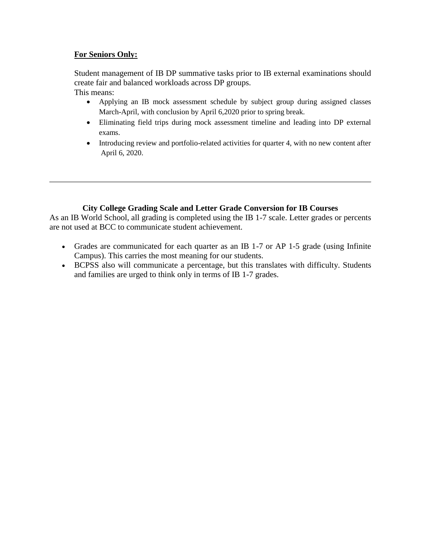### **For Seniors Only:**

Student management of IB DP summative tasks prior to IB external examinations should create fair and balanced workloads across DP groups. This means:

- Applying an IB mock assessment schedule by subject group during assigned classes March-April, with conclusion by April 6,2020 prior to spring break.
- Eliminating field trips during mock assessment timeline and leading into DP external exams.
- Introducing review and portfolio-related activities for quarter 4, with no new content after April 6, 2020.

### **City College Grading Scale and Letter Grade Conversion for IB Courses**

As an IB World School, all grading is completed using the IB 1-7 scale. Letter grades or percents are not used at BCC to communicate student achievement.

- Grades are communicated for each quarter as an IB 1-7 or AP 1-5 grade (using Infinite Campus). This carries the most meaning for our students.
- BCPSS also will communicate a percentage, but this translates with difficulty. Students and families are urged to think only in terms of IB 1-7 grades.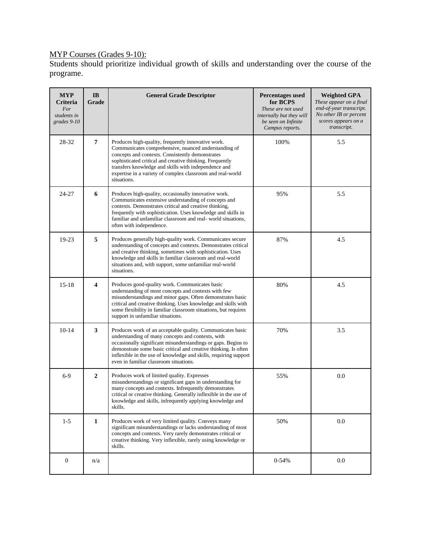### MYP Courses (Grades 9-10):

Students should prioritize individual growth of skills and understanding over the course of the programe.

| <b>MYP</b><br>Criteria<br>For<br>students in<br>grades 9-10 | IB<br>Grade             | <b>General Grade Descriptor</b>                                                                                                                                                                                                                                                                                                                                   | <b>Percentages used</b><br>for BCPS<br>These are not used<br>internally but they will<br>be seen on Infinite<br>Campus reports. | <b>Weighted GPA</b><br>These appear on a final<br>end-of-year transcript.<br>No other IB or percent<br>scores appears on a<br>transcript. |
|-------------------------------------------------------------|-------------------------|-------------------------------------------------------------------------------------------------------------------------------------------------------------------------------------------------------------------------------------------------------------------------------------------------------------------------------------------------------------------|---------------------------------------------------------------------------------------------------------------------------------|-------------------------------------------------------------------------------------------------------------------------------------------|
| 28-32                                                       | $\overline{7}$          | Produces high-quality, frequently innovative work.<br>Communicates comprehensive, nuanced understanding of<br>concepts and contexts. Consistently demonstrates<br>sophisticated critical and creative thinking. Frequently<br>transfers knowledge and skills with independence and<br>expertise in a variety of complex classroom and real-world<br>situations.   | 100%                                                                                                                            | 5.5                                                                                                                                       |
| 24-27                                                       | 6                       | Produces high-quality, occasionally innovative work.<br>Communicates extensive understanding of concepts and<br>contexts. Demonstrates critical and creative thinking,<br>frequently with sophistication. Uses knowledge and skills in<br>familiar and unfamiliar classroom and real-world situations,<br>often with independence.                                | 95%                                                                                                                             | 5.5                                                                                                                                       |
| 19-23                                                       | 5                       | Produces generally high-quality work. Communicates secure<br>understanding of concepts and contexts. Demonstrates critical<br>and creative thinking, sometimes with sophistication. Uses<br>knowledge and skills in familiar classroom and real-world<br>situations and, with support, some unfamiliar real-world<br>situations.                                  | 87%                                                                                                                             | 4.5                                                                                                                                       |
| $15-18$                                                     | $\overline{\mathbf{4}}$ | Produces good-quality work. Communicates basic<br>understanding of most concepts and contexts with few<br>misunderstandings and minor gaps. Often demonstrates basic<br>critical and creative thinking. Uses knowledge and skills with<br>some flexibility in familiar classroom situations, but requires<br>support in unfamiliar situations.                    | 80%                                                                                                                             | 4.5                                                                                                                                       |
| $10-14$                                                     | $\mathbf{3}$            | Produces work of an acceptable quality. Communicates basic<br>understanding of many concepts and contexts, with<br>occasionally significant misunderstandings or gaps. Begins to<br>demonstrate some basic critical and creative thinking. Is often<br>inflexible in the use of knowledge and skills, requiring support<br>even in familiar classroom situations. | 70%                                                                                                                             | 3.5                                                                                                                                       |
| $6-9$                                                       | $\overline{2}$          | Produces work of limited quality. Expresses<br>misunderstandings or significant gaps in understanding for<br>many concepts and contexts. Infrequently demonstrates<br>critical or creative thinking. Generally inflexible in the use of<br>knowledge and skills, infrequently applying knowledge and<br>skills.                                                   | 55%                                                                                                                             | 0.0                                                                                                                                       |
| $1 - 5$                                                     | $\mathbf{1}$            | Produces work of very limited quality. Conveys many<br>significant misunderstandings or lacks understanding of most<br>concepts and contexts. Very rarely demonstrates critical or<br>creative thinking. Very inflexible, rarely using knowledge or<br>skills.                                                                                                    | 50%                                                                                                                             | $0.0\,$                                                                                                                                   |
| $\boldsymbol{0}$                                            | n/a                     |                                                                                                                                                                                                                                                                                                                                                                   | $0 - 54%$                                                                                                                       | $0.0\,$                                                                                                                                   |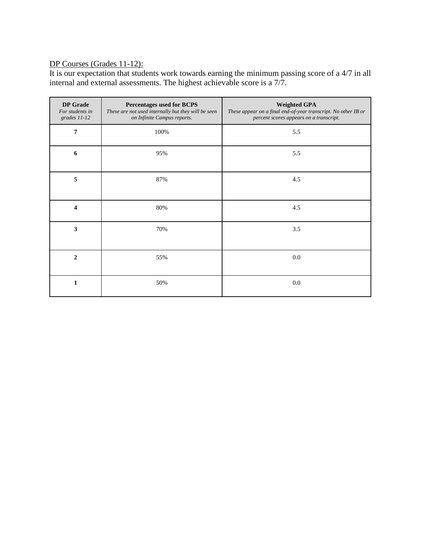### DP Courses (Grades 11-12):

It is our expectation that students work towards earning the minimum passing score of a 4/7 in all internal and external assessments. The highest achievable score is a 7/7.

| <b>DP</b> Grade<br>For students in<br>grades 11-12 | Percentages used for BCPS<br>These are not used internally but they will be seen<br>on Infinite Campus reports. | <b>Weighted GPA</b><br>These appear on a final end-of-year transcript. No other IB or<br>percent scores appears on a transcript. |
|----------------------------------------------------|-----------------------------------------------------------------------------------------------------------------|----------------------------------------------------------------------------------------------------------------------------------|
| $\overline{7}$                                     | 100%                                                                                                            | 5.5                                                                                                                              |
| 6                                                  | 95%                                                                                                             | 5.5                                                                                                                              |
| 5                                                  | 87%                                                                                                             | 4.5                                                                                                                              |
| 4                                                  | 80%                                                                                                             | 4.5                                                                                                                              |
| $\mathbf{3}$                                       | 70%                                                                                                             | 3.5                                                                                                                              |
| $\overline{2}$                                     | 55%                                                                                                             | $0.0\,$                                                                                                                          |
| 1                                                  | 50%                                                                                                             | $0.0\,$                                                                                                                          |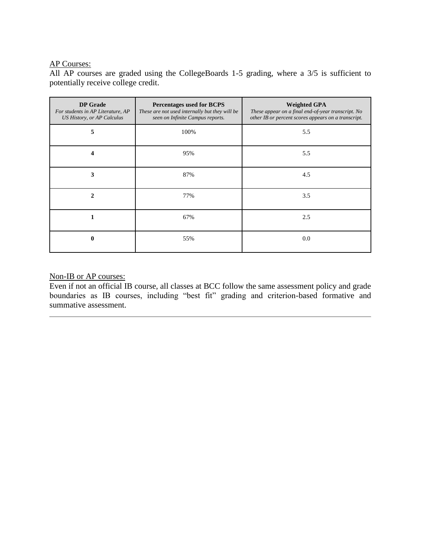### AP Courses:

All AP courses are graded using the CollegeBoards 1-5 grading, where a 3/5 is sufficient to potentially receive college credit.

| <b>DP</b> Grade<br>For students in AP Literature, AP<br>US History, or AP Calculus | Percentages used for BCPS<br>These are not used internally but they will be<br>seen on Infinite Campus reports. | <b>Weighted GPA</b><br>These appear on a final end-of-year transcript. No<br>other IB or percent scores appears on a transcript. |
|------------------------------------------------------------------------------------|-----------------------------------------------------------------------------------------------------------------|----------------------------------------------------------------------------------------------------------------------------------|
| 5                                                                                  | 100%                                                                                                            | 5.5                                                                                                                              |
| 4                                                                                  | 95%                                                                                                             | 5.5                                                                                                                              |
| 3                                                                                  | 87%                                                                                                             | 4.5                                                                                                                              |
| $\mathbf{2}$                                                                       | 77%                                                                                                             | 3.5                                                                                                                              |
|                                                                                    | 67%                                                                                                             | 2.5                                                                                                                              |
| $\bf{0}$                                                                           | 55%                                                                                                             | 0.0                                                                                                                              |

#### Non-IB or AP courses:

Even if not an official IB course, all classes at BCC follow the same assessment policy and grade boundaries as IB courses, including "best fit" grading and criterion-based formative and summative assessment.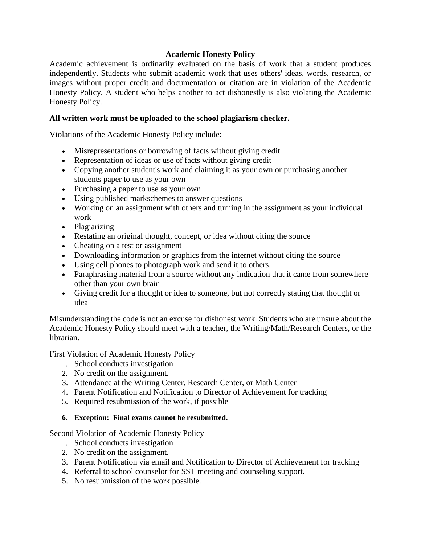### **Academic Honesty Policy**

Academic achievement is ordinarily evaluated on the basis of work that a student produces independently. Students who submit academic work that uses others' ideas, words, research, or images without proper credit and documentation or citation are in violation of the Academic Honesty Policy. A student who helps another to act dishonestly is also violating the Academic Honesty Policy.

### **All written work must be uploaded to the school plagiarism checker.**

Violations of the Academic Honesty Policy include:

- Misrepresentations or borrowing of facts without giving credit
- Representation of ideas or use of facts without giving credit
- Copying another student's work and claiming it as your own or purchasing another students paper to use as your own
- Purchasing a paper to use as your own
- Using published markschemes to answer questions
- Working on an assignment with others and turning in the assignment as your individual work
- Plagiarizing
- Restating an original thought, concept, or idea without citing the source
- Cheating on a test or assignment
- Downloading information or graphics from the internet without citing the source
- Using cell phones to photograph work and send it to others.
- Paraphrasing material from a source without any indication that it came from somewhere other than your own brain
- Giving credit for a thought or idea to someone, but not correctly stating that thought or idea

Misunderstanding the code is not an excuse for dishonest work. Students who are unsure about the Academic Honesty Policy should meet with a teacher, the Writing/Math/Research Centers, or the librarian.

First Violation of Academic Honesty Policy

- 1. School conducts investigation
- 2. No credit on the assignment.
- 3. Attendance at the Writing Center, Research Center, or Math Center
- 4. Parent Notification and Notification to Director of Achievement for tracking
- 5. Required resubmission of the work, if possible

#### **6. Exception: Final exams cannot be resubmitted.**

Second Violation of Academic Honesty Policy

- 1. School conducts investigation
- 2. No credit on the assignment.
- 3. Parent Notification via email and Notification to Director of Achievement for tracking
- 4. Referral to school counselor for SST meeting and counseling support.
- 5. No resubmission of the work possible.